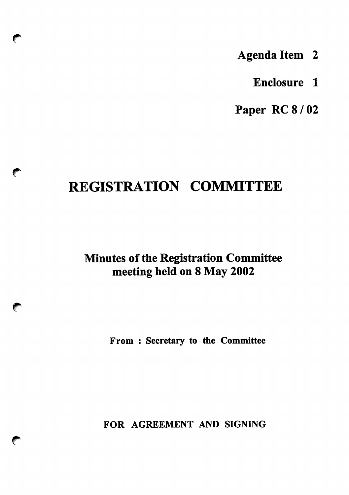- Agenda Item 2
	- Enclosure 1

Paper RC 8 / 02

# REGISTRATION COMMITTEE

←

**Company** 

**College Report** 

Minutes of the Registration Committee meeting held on 8 May 2002

From : Secretary to the Committee

FOR AGREEMENT AND SIGNING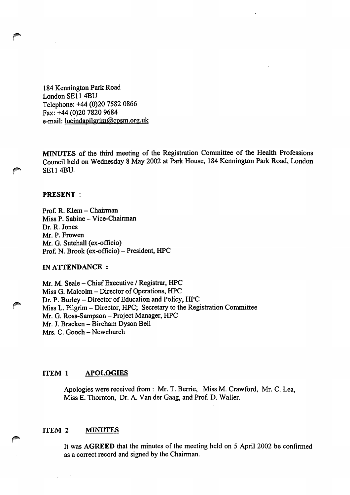184 Kennington Park Road London SE114BU Telephone: +44 (0)20 7582 0866 Fax: +44 (0)20 7820 9684 e-mail: lucindapilgrim@cpsm.org.uk

MINUTES of the third meeting of the Registration Committee of the Health Professions Council held on Wednesday 8 May 2002 at Park House, 184 Kennington Park Road, London SE114BU.

#### PRESENT :

Prof. R. Klem - Chairman Miss P. Sabine - Vice-Chairman Dr. R. Jones Mr. P. Frowen Mr. G. Sutehall (ex-officio) Prof. N. Brook (ex-officio) - President, HPC

## IN ATTENDANCE :

Mr. M. Seale - Chief Executive / Registrar, HPC Miss G. Malcolm - Director of Operations, HPC Dr. P. Burley - Director of Education and Policy, HPC Miss L. Pilgrim – Director, HPC; Secretary to the Registration Committee Mr. G. Ross-Sampson - Project Manager, HPC Mr. J. Bracken - Bircham Dyson Bell Mrs. C. Gooch - Newchurch

#### ITEM 1 APOLOGIES

Apologies were received from : Mr. T. Berrie, Miss M. Crawford, Mr. C. Lea, Miss E. Thornton, Dr. A. Van der Gaag, and Prof. D. Waller.

#### ITEM 2 MINUTES

It was AGREED that the minutes of the meeting held on 5 April 2002 be confirmed as a correct record and signed by the Chairman.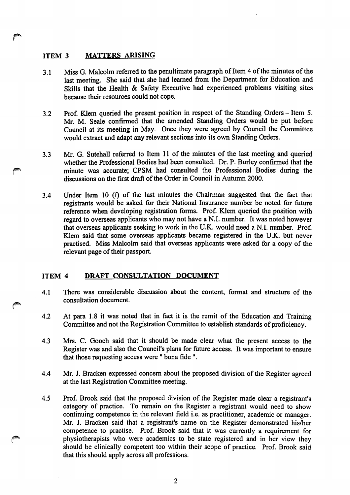# ITEM 3 MATTERS ARISING

- 3.1 Miss G. Malcolm referred to the penultimate paragraph of Item 4 of the minutes of the last meeting. She said that she had learned from the Department for Education and Skills that the Health & Safety Executive had experienced problems visiting sites because their resources could not cope.
- 3.2 Prof. Klem queried the present position in respect of the Standing Orders-Item 5. Mr. M. Seale confirmed that the amended Standing Orders would be put before Council at its meeting in May. Once they were agreed by Council the Committee would extract and adapt any relevant sections into its own Standing Orders.
- 3.3 Mr. G. Sutehall referred to Item 11 of the minutes of the last meeting and queried whether the Professional Bodies had been consulted. Dr. P. Burley confirmed that the minute was accurate; CPSM had consulted the Professional Bodies during the discussions on the first draft of the Order in Council in Autumn 2000.
- 3.4 Under Item 10 (f) of the last minutes the Chairman suggested that the fact that registrants would be asked for their National Insurance number be noted for future reference when developing registration forms. Prof. Klem queried the position with regard to overseas applicants who may not have a N.I. number. It was noted however that overseas applicants seeking to work in the U.K. would need a N.I. number. Prof. Klem said that some overseas applicants became registered in the U.K. but never practised. Miss Malcolm said that overseas applicants were asked for a copy of the relevant page of their passport.

# ITEM 4 DRAFT CONSULTATION DOCUMENT

- 4.1 There was considerable discussion about the content, format and structure of the consultation document.
- 4.2 At para 1.8 it was noted that in fact it is the remit of the Education and Training Committee and not the Registration Committee to establish standards of proficiency.
- 4.3 Mrs. C. Gooch said that it should be made clear what the present access to the Register was and also the Council's plans for future access. It was important to ensure that those requesting access were " bona fide ".
- 4.4 Mr. J. Bracken expressed concern about the proposed division of the Register agreed at the last Registration Committee meeting.
- 4.5 Prof. Brook said that the proposed division of the Register made clear a registrant's category of practice. To remain on the Register a registrant would need to show continuing competence in the relevant field i.e. as practitioner, academic or manager. Mr. J. Bracken said that a registrant's name on the Register demonstrated his/her competence to practise. Prof. Brook said that it was currently a requirement for physiotherapists who were academics to be state registered and in her view they should be clinically competent too within their scope of practice. Prof. Brook said that this should apply across all professions.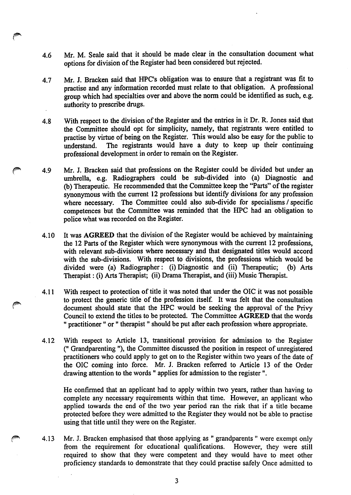4.6 Mr. M. Seale said that it should be made clear in the consultation document what options for division of the Register had been considered but rejected.

0

- 4.7 Mr. J. Bracken said that HPC's obligation was to ensure that a registrant was fit to practise and any information recorded must relate to that obligation. A professional group which had specialties over and above the norm could be identified as such, e.g. authority to prescribe drugs.
- 4.8 With respect to the division of the Register and the entries in it Dr. R. Jones said that the Committee should opt for simplicity, namely, that registrants were entitled to practise by virtue of being on the Register. This would also be easy for the public to understand. The registrants would have a duty to keep up their continuing professional development in order to remain on the Register.
- 4.9 Mr. J. Bracken said that professions on the Register could be divided but under an umbrella, e.g. Radiographers could be sub-divided into (a) Diagnostic and (b) Therapeutic. He recommended that the Committee keep the "Parts" of the register synonymous with the current 12 professions but identify divisions for any profession where necessary. The Committee could also sub-divide for specialisms / specific competences but the Committee was reminded that the HPC had an obligation to police what was recorded on the Register.
- 4.10 It was AGREED that the division of the Register would be achieved by maintaining the 12 Parts of the Register which were synonymous with the current 12 professions, with relevant sub-divisions where necessary and that designated titles would accord with the sub-divisions. With respect to divisions, the professions which would be divided were (a) Radiographer: (i)Diagnostic and (ii) Therapeutic; (b) Arts Therapist: (i) Arts Therapist; (ii) Drama Therapist, and (iii) Music Therapist.
- 4.11 With respect to protection of title it was noted that under the OIC it was not possible to protect the generic title of the profession itself. It was felt that the consultation document should state that the HPC would be seeking the approval of the Privy Council to extend the titles to be protected. The Committee AGREED that the words " practitioner " or " therapist" should be put after each profession where appropriate.
- 4.12 With respect to Article 13, transitional provision for admission to the Register (" Grandparenting "), the Committee discussed the position in respect of unregistered practitioners who could apply to get on to the Register within two years of the date of the OIC coming into force. Mr. J. Bracken referred to Article 13 of the Order drawing attention to the words " applies for admission to the register ".

He confirmed that an applicant had to apply within two years, rather than having to complete any necessary requirements within that time. However, an applicant who applied towards the end of the two year period ran the risk that if a title became protected before they were admitted to the Register they would not be able to practise using that title until they were on the Register.

4.13 Mr. J. Bracken emphasised that those applying as " grandparents " were exempt only from the requirement for educational qualifications. However, they were still required to show that they were competent and they would have to meet other proficiency standards to demonstrate that they could practise safely Once admitted to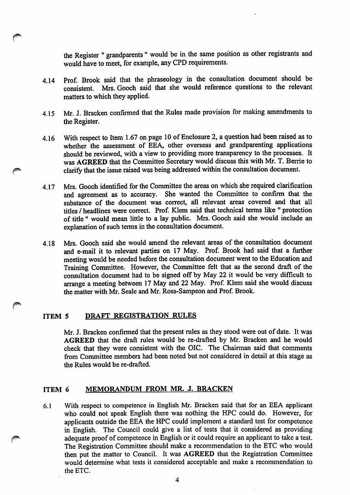the Register " grandparents" would be in the same position as other registrants and would have to meet, for example, any CPD requirements.

- 4.14 Prof. Brook said that the phraseology in the consultation document should be consistent. Mrs. Gooch said that she would reference questions to the relevant matters to which they applied.
- 4.15 Mr. J. Bracken confirmed that the Rules made provision for making amendments to the Register.
- 4.16 With respect to Item 1.67 on page 10 of Enclosure 2, a question had been raised as to whether the assessment of EEA, other overseas and grandparenting applications should be reviewed, with a view to providing more transparency to the processes. It was AGREED that the Committee Secretary would discuss this with Mr. T. Berrie to clarify that the issue raised was being addressed within the consultation document.
- 4.17 Mrs. Gooch identified for the Committee the areas on which she required clarification and agreement as to accuracy. She wanted the Committee to confirm that the substance of the document was correct, all relevant areas covered and that all titles / headlines were correct. Prof. Klem said that technical terms like " protection of title " would mean little to a lay public. Mrs. Gooch said she would include an explanation of such terms in the consultation document.
- 4.18 Mrs. Gooch said she would amend the relevant areas of the consultation document and e-mail it to relevant parties on 17 May. Prof. Brook had said that a further meeting would be needed before the consultation document went to the Education and Training Committee. However, the Committee felt that as the second draft of the consultation document had to be signed off by May 22 it would be very difficult to arrange a meeting between 17 May and 22 May. Prof. Klem said she would discuss the matter with Mr. Seale and Mr. Ross-Sampson and Prof. Brook.

## ITEM 5 DRAFT REGISTRATION RULES

Mr. J. Bracken confirmed that the present rules as they stood were out of date. It was AGREED that the draft rules would be re-drafted by Mr. Bracken and he would check that they were consistent with the OIC. The Chairman said that comments from Committee members had been noted but not considered in detail at this stage as the Rules would be re-drafted.

## ITEM 6 MEMORANDUM FROM MR. J. BRACKEN

6.1 With respect to competence in English Mr. Bracken said that for an EEA applicant who could not speak English there was nothing the HPC could do. However, for applicants outside the EEA the HPC could implement a standard test for competence in English. The Council could give a list of tests that it considered as providing adequate proof of competence in English or it could require an applicant to take a test. The Registration Committee should make a recommendation to the ETC who would then put the matter to Council. It was AGREED that the Registration Committee would determine what tests it considered acceptable and make a recommendation to the ETC.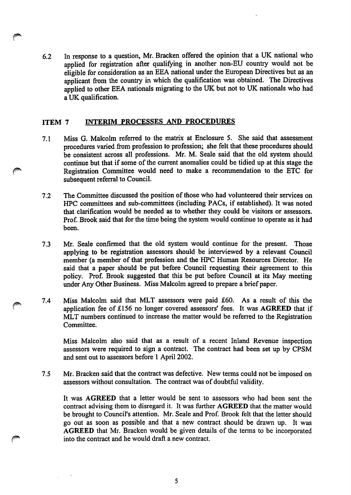6.2 In response to a question, Mr. Bracken offered the opinion that a UK national who applied for registration after qualifying in another non-EU country would not be eligible for consideration as an EEA national under the European Directives but as an applicant from the country in which the qualification was obtained. The Directives applied to other EEA nationals migrating to the UK but not to UK nationals who had a UK qualification.

# ITEM 7 INTERIM PROCESSES AND PROCEDURES

- 7.1 Miss G. Malcolm referred to the matrix at Enclosure 5. She said that assessment procedures varied from profession to profession; she felt that these procedures should be consistent across all professions. Mr. M. Seale said that the old system should continue but that if some of the current anomalies could be tidied up at this stage the Registration Committee would need to make a recommendation to the ETC for subsequent referral to Council.
- 7.2 The Committee discussed the position of those who had volunteered their services on HPC committees and sub-committees (including PACs, if established). It was noted that clarification would be needed as to whether they could be visitors or assessors. Prof. Brook said that for the time being the system would continue to operate as it had been.
- 7.3 Mr. Seale confirmed that the old system would continue for the present. Those applying to be registration assessors should be interviewed by a relevant Council member (a member of that profession and the HPC Human Resources Director. He said that a paper should be put before Council requesting their agreement to this policy. Prof. Brook suggested that this be put before Council at its May meeting under Any Other Business. Miss Malcolm agreed to prepare a brief paper.
- ^ 7.4 Miss Malcolm said that MLT assessors were paid £60. As a result of this the application fee of £156 no longer covered assessors' fees. It was AGREED that if MLT numbers continued to increase the matter would be referred to the Registration Committee.

Miss Malcolm also said that as a result of a recent Inland Revenue inspection assessors were required to sign a contract. The contract had been set up by CPSM and sent out to assessors before 1 April 2002.

7.5 Mr. Bracken said that the contract was defective. New terms could not be imposed on assessors without consultation. The contract was of doubtful validity.

It was AGREED that a letter would be sent to assessors who had been sent the contract advising them to disregard it. It was further AGREED that the matter would be brought to Council's attention. Mr. Seale and Prof. Brook felt that the letter should go out as soon as possible and that a new contract should be drawn up. It was AGREED that Mr. Bracken would be given details of the terms to be incorporated into the contract and he would draft a new contract.

5